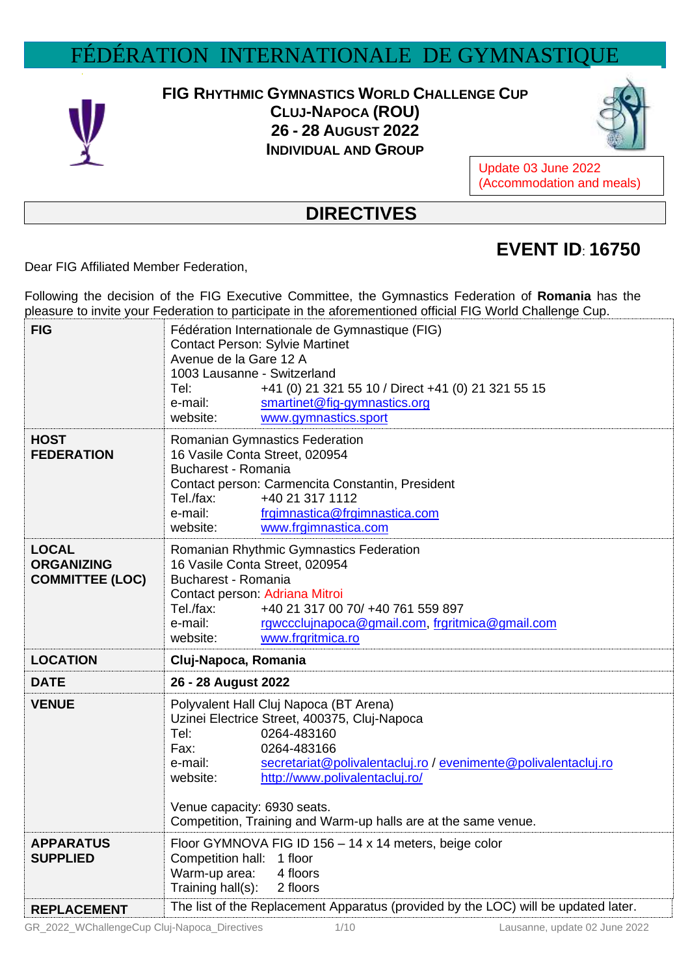## FÉDÉRATION INTERNATIONALE DE GYMNASTIQU



## **FIG RHYTHMIC GYMNASTICS WORLD CHALLENGE CUP**

**CLUJ-NAPOCA (ROU) 26 - 28 AUGUST 2022 INDIVIDUAL AND GROUP**



Update 03 June 2022 (Accommodation and meals)

## **DIRECTIVES**

## **EVENT ID**: **16750**

Dear FIG Affiliated Member Federation,

Following the decision of the FIG Executive Committee, the Gymnastics Federation of **Romania** has the pleasure to invite your Federation to participate in the aforementioned official FIG World Challenge Cup.

| <b>FIG</b>                                                  | Fédération Internationale de Gymnastique (FIG)<br><b>Contact Person: Sylvie Martinet</b><br>Avenue de la Gare 12 A<br>1003 Lausanne - Switzerland<br>Tel:<br>+41 (0) 21 321 55 10 / Direct +41 (0) 21 321 55 15<br>smartinet@fig-gymnastics.org<br>e-mail:<br>website:<br>www.gymnastics.sport                                                                   |  |  |
|-------------------------------------------------------------|------------------------------------------------------------------------------------------------------------------------------------------------------------------------------------------------------------------------------------------------------------------------------------------------------------------------------------------------------------------|--|--|
| <b>HOST</b><br><b>FEDERATION</b>                            | Romanian Gymnastics Federation<br>16 Vasile Conta Street, 020954<br><b>Bucharest - Romania</b><br>Contact person: Carmencita Constantin, President<br>Tel./fax:<br>+40 21 317 1112<br>e-mail:<br>frgimnastica@frgimnastica.com<br>www.frgimnastica.com<br>website:                                                                                               |  |  |
| <b>LOCAL</b><br><b>ORGANIZING</b><br><b>COMMITTEE (LOC)</b> | Romanian Rhythmic Gymnastics Federation<br>16 Vasile Conta Street, 020954<br><b>Bucharest - Romania</b><br>Contact person: Adriana Mitroi<br>Tel./fax:<br>+40 21 317 00 70/ +40 761 559 897<br>e-mail:<br>rgwccclujnapoca@gmail.com, frgritmica@gmail.com<br>website:<br>www.frgritmica.ro                                                                       |  |  |
| <b>LOCATION</b>                                             | Cluj-Napoca, Romania                                                                                                                                                                                                                                                                                                                                             |  |  |
| <b>DATE</b>                                                 | 26 - 28 August 2022                                                                                                                                                                                                                                                                                                                                              |  |  |
| <b>VENUE</b>                                                | Polyvalent Hall Cluj Napoca (BT Arena)<br>Uzinei Electrice Street, 400375, Cluj-Napoca<br>Tel:<br>0264-483160<br>Fax:<br>0264-483166<br>e-mail:<br>secretariat@polivalentacluj.ro / evenimente@polivalentacluj.ro<br>http://www.polivalentacluj.ro/<br>website:<br>Venue capacity: 6930 seats.<br>Competition, Training and Warm-up halls are at the same venue. |  |  |
| <b>APPARATUS</b><br><b>SUPPLIED</b>                         | Floor GYMNOVA FIG ID 156 - 14 x 14 meters, beige color<br>Competition hall: 1 floor<br>Warm-up area:<br>4 floors<br>Training hall(s):<br>2 floors                                                                                                                                                                                                                |  |  |
| <b>REPLACEMENT</b>                                          | The list of the Replacement Apparatus (provided by the LOC) will be updated later.                                                                                                                                                                                                                                                                               |  |  |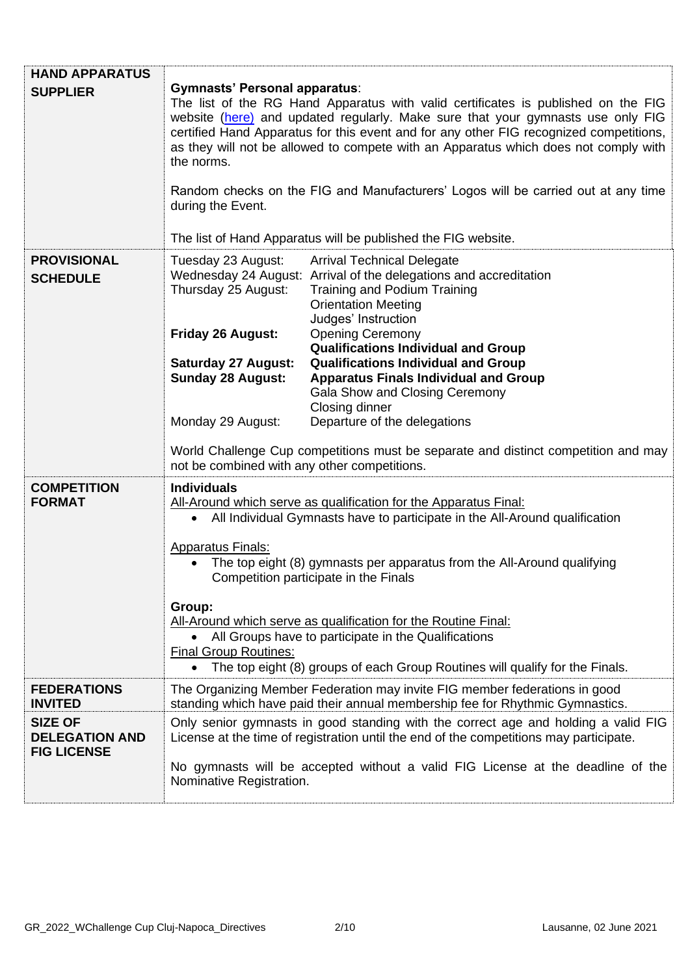| <b>HAND APPARATUS</b>                                         |                                                                                                                                                                                                                                                                                                                                                                                                                                                                                                                                                                                                     |                                                                                                                                                                                                                                                                                                                                                                                                                                                                                                                                              |  |
|---------------------------------------------------------------|-----------------------------------------------------------------------------------------------------------------------------------------------------------------------------------------------------------------------------------------------------------------------------------------------------------------------------------------------------------------------------------------------------------------------------------------------------------------------------------------------------------------------------------------------------------------------------------------------------|----------------------------------------------------------------------------------------------------------------------------------------------------------------------------------------------------------------------------------------------------------------------------------------------------------------------------------------------------------------------------------------------------------------------------------------------------------------------------------------------------------------------------------------------|--|
| <b>SUPPLIER</b>                                               | <b>Gymnasts' Personal apparatus:</b><br>The list of the RG Hand Apparatus with valid certificates is published on the FIG<br>website (here) and updated regularly. Make sure that your gymnasts use only FIG<br>certified Hand Apparatus for this event and for any other FIG recognized competitions,<br>as they will not be allowed to compete with an Apparatus which does not comply with<br>the norms.<br>Random checks on the FIG and Manufacturers' Logos will be carried out at any time<br>during the Event.<br>The list of Hand Apparatus will be published the FIG website.              |                                                                                                                                                                                                                                                                                                                                                                                                                                                                                                                                              |  |
| <b>PROVISIONAL</b><br><b>SCHEDULE</b>                         | Tuesday 23 August:<br>Thursday 25 August:<br><b>Friday 26 August:</b><br><b>Saturday 27 August:</b><br><b>Sunday 28 August:</b><br>Monday 29 August:                                                                                                                                                                                                                                                                                                                                                                                                                                                | <b>Arrival Technical Delegate</b><br>Wednesday 24 August: Arrival of the delegations and accreditation<br>Training and Podium Training<br><b>Orientation Meeting</b><br>Judges' Instruction<br><b>Opening Ceremony</b><br><b>Qualifications Individual and Group</b><br><b>Qualifications Individual and Group</b><br><b>Apparatus Finals Individual and Group</b><br>Gala Show and Closing Ceremony<br>Closing dinner<br>Departure of the delegations<br>World Challenge Cup competitions must be separate and distinct competition and may |  |
|                                                               | not be combined with any other competitions.                                                                                                                                                                                                                                                                                                                                                                                                                                                                                                                                                        |                                                                                                                                                                                                                                                                                                                                                                                                                                                                                                                                              |  |
| <b>COMPETITION</b><br><b>FORMAT</b>                           | <b>Individuals</b><br>All-Around which serve as qualification for the Apparatus Final:<br>All Individual Gymnasts have to participate in the All-Around qualification<br>$\bullet$<br><b>Apparatus Finals:</b><br>The top eight (8) gymnasts per apparatus from the All-Around qualifying<br>Competition participate in the Finals<br>Group:<br>All-Around which serve as qualification for the Routine Final:<br>All Groups have to participate in the Qualifications<br><b>Final Group Routines:</b><br>The top eight (8) groups of each Group Routines will qualify for the Finals.<br>$\bullet$ |                                                                                                                                                                                                                                                                                                                                                                                                                                                                                                                                              |  |
| <b>FEDERATIONS</b><br><b>INVITED</b>                          | The Organizing Member Federation may invite FIG member federations in good                                                                                                                                                                                                                                                                                                                                                                                                                                                                                                                          |                                                                                                                                                                                                                                                                                                                                                                                                                                                                                                                                              |  |
| <b>SIZE OF</b><br><b>DELEGATION AND</b><br><b>FIG LICENSE</b> | standing which have paid their annual membership fee for Rhythmic Gymnastics.<br>Only senior gymnasts in good standing with the correct age and holding a valid FIG<br>License at the time of registration until the end of the competitions may participate.<br>No gymnasts will be accepted without a valid FIG License at the deadline of the<br>Nominative Registration.                                                                                                                                                                                                                        |                                                                                                                                                                                                                                                                                                                                                                                                                                                                                                                                              |  |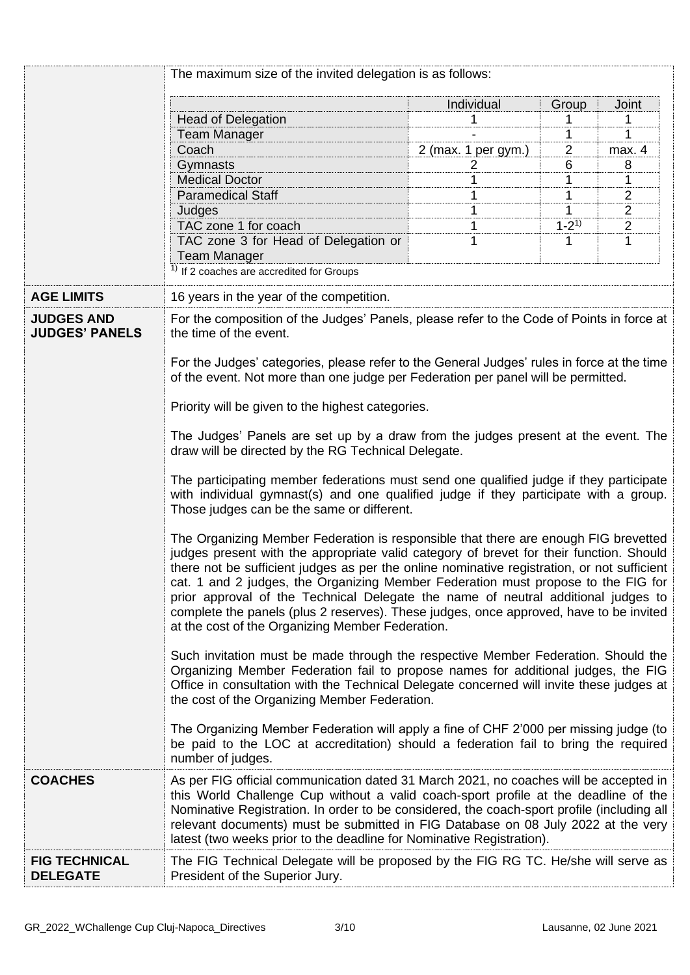|                                            | The maximum size of the invited delegation is as follows:                                                                                                                                                                                                                                                                                                                                                                                                                                                                                                                                             |                     |                |                |  |
|--------------------------------------------|-------------------------------------------------------------------------------------------------------------------------------------------------------------------------------------------------------------------------------------------------------------------------------------------------------------------------------------------------------------------------------------------------------------------------------------------------------------------------------------------------------------------------------------------------------------------------------------------------------|---------------------|----------------|----------------|--|
|                                            |                                                                                                                                                                                                                                                                                                                                                                                                                                                                                                                                                                                                       | Individual          | Group          | <b>Joint</b>   |  |
|                                            | <b>Head of Delegation</b>                                                                                                                                                                                                                                                                                                                                                                                                                                                                                                                                                                             |                     |                | 1              |  |
|                                            | <b>Team Manager</b>                                                                                                                                                                                                                                                                                                                                                                                                                                                                                                                                                                                   |                     | 1              | 1              |  |
|                                            | Coach                                                                                                                                                                                                                                                                                                                                                                                                                                                                                                                                                                                                 | 2 (max. 1 per gym.) | $\overline{2}$ | max. 4         |  |
|                                            | Gymnasts                                                                                                                                                                                                                                                                                                                                                                                                                                                                                                                                                                                              | 2                   | 6              | 8              |  |
|                                            | <b>Medical Doctor</b>                                                                                                                                                                                                                                                                                                                                                                                                                                                                                                                                                                                 | 1                   | 1              | 1              |  |
|                                            | <b>Paramedical Staff</b>                                                                                                                                                                                                                                                                                                                                                                                                                                                                                                                                                                              | 1                   | 1              | $\overline{2}$ |  |
|                                            | Judges                                                                                                                                                                                                                                                                                                                                                                                                                                                                                                                                                                                                | 1                   |                | 2              |  |
|                                            | TAC zone 1 for coach                                                                                                                                                                                                                                                                                                                                                                                                                                                                                                                                                                                  |                     | $1 - 2^{1}$    | $\mathbf 2$    |  |
|                                            | TAC zone 3 for Head of Delegation or                                                                                                                                                                                                                                                                                                                                                                                                                                                                                                                                                                  | 1                   | 1              | 1              |  |
|                                            | <b>Team Manager</b>                                                                                                                                                                                                                                                                                                                                                                                                                                                                                                                                                                                   |                     |                |                |  |
|                                            | $1$ If 2 coaches are accredited for Groups                                                                                                                                                                                                                                                                                                                                                                                                                                                                                                                                                            |                     |                |                |  |
| <b>AGE LIMITS</b>                          | 16 years in the year of the competition.                                                                                                                                                                                                                                                                                                                                                                                                                                                                                                                                                              |                     |                |                |  |
| <b>JUDGES AND</b><br><b>JUDGES' PANELS</b> | For the composition of the Judges' Panels, please refer to the Code of Points in force at<br>the time of the event.                                                                                                                                                                                                                                                                                                                                                                                                                                                                                   |                     |                |                |  |
|                                            | For the Judges' categories, please refer to the General Judges' rules in force at the time<br>of the event. Not more than one judge per Federation per panel will be permitted.                                                                                                                                                                                                                                                                                                                                                                                                                       |                     |                |                |  |
|                                            | Priority will be given to the highest categories.                                                                                                                                                                                                                                                                                                                                                                                                                                                                                                                                                     |                     |                |                |  |
|                                            | The Judges' Panels are set up by a draw from the judges present at the event. The<br>draw will be directed by the RG Technical Delegate.                                                                                                                                                                                                                                                                                                                                                                                                                                                              |                     |                |                |  |
|                                            | The participating member federations must send one qualified judge if they participate<br>with individual gymnast(s) and one qualified judge if they participate with a group.<br>Those judges can be the same or different.                                                                                                                                                                                                                                                                                                                                                                          |                     |                |                |  |
|                                            | The Organizing Member Federation is responsible that there are enough FIG brevetted<br>judges present with the appropriate valid category of brevet for their function. Should<br>there not be sufficient judges as per the online nominative registration, or not sufficient<br>cat. 1 and 2 judges, the Organizing Member Federation must propose to the FIG for<br>prior approval of the Technical Delegate the name of neutral additional judges to<br>complete the panels (plus 2 reserves). These judges, once approved, have to be invited<br>at the cost of the Organizing Member Federation. |                     |                |                |  |
|                                            | Such invitation must be made through the respective Member Federation. Should the<br>Organizing Member Federation fail to propose names for additional judges, the FIG<br>Office in consultation with the Technical Delegate concerned will invite these judges at<br>the cost of the Organizing Member Federation.                                                                                                                                                                                                                                                                                   |                     |                |                |  |
|                                            | The Organizing Member Federation will apply a fine of CHF 2'000 per missing judge (to<br>be paid to the LOC at accreditation) should a federation fail to bring the required<br>number of judges.                                                                                                                                                                                                                                                                                                                                                                                                     |                     |                |                |  |
| <b>COACHES</b>                             | As per FIG official communication dated 31 March 2021, no coaches will be accepted in<br>this World Challenge Cup without a valid coach-sport profile at the deadline of the<br>Nominative Registration. In order to be considered, the coach-sport profile (including all<br>relevant documents) must be submitted in FIG Database on 08 July 2022 at the very<br>latest (two weeks prior to the deadline for Nominative Registration).                                                                                                                                                              |                     |                |                |  |
| <b>FIG TECHNICAL</b><br><b>DELEGATE</b>    | The FIG Technical Delegate will be proposed by the FIG RG TC. He/she will serve as<br>President of the Superior Jury.                                                                                                                                                                                                                                                                                                                                                                                                                                                                                 |                     |                |                |  |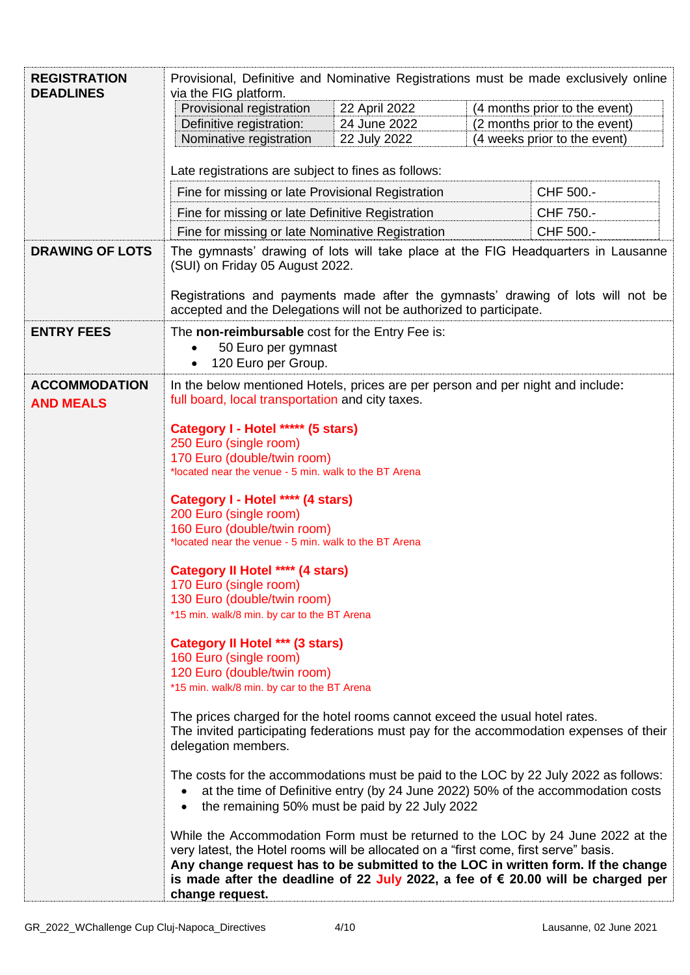| <b>REGISTRATION</b>                      | Provisional, Definitive and Nominative Registrations must be made exclusively online                                                                                                                                                                                                                                                                                                                                                                                                                                                                                                                                                                                                                                                                                                                                                                                      |                                                                                                 |  |                              |  |
|------------------------------------------|---------------------------------------------------------------------------------------------------------------------------------------------------------------------------------------------------------------------------------------------------------------------------------------------------------------------------------------------------------------------------------------------------------------------------------------------------------------------------------------------------------------------------------------------------------------------------------------------------------------------------------------------------------------------------------------------------------------------------------------------------------------------------------------------------------------------------------------------------------------------------|-------------------------------------------------------------------------------------------------|--|------------------------------|--|
| <b>DEADLINES</b>                         | via the FIG platform.                                                                                                                                                                                                                                                                                                                                                                                                                                                                                                                                                                                                                                                                                                                                                                                                                                                     |                                                                                                 |  |                              |  |
|                                          | Provisional registration<br>Definitive registration:                                                                                                                                                                                                                                                                                                                                                                                                                                                                                                                                                                                                                                                                                                                                                                                                                      | 22 April 2022<br>(4 months prior to the event)<br>(2 months prior to the event)<br>24 June 2022 |  |                              |  |
|                                          | Nominative registration                                                                                                                                                                                                                                                                                                                                                                                                                                                                                                                                                                                                                                                                                                                                                                                                                                                   | 22 July 2022                                                                                    |  | (4 weeks prior to the event) |  |
|                                          |                                                                                                                                                                                                                                                                                                                                                                                                                                                                                                                                                                                                                                                                                                                                                                                                                                                                           |                                                                                                 |  |                              |  |
|                                          | Late registrations are subject to fines as follows:                                                                                                                                                                                                                                                                                                                                                                                                                                                                                                                                                                                                                                                                                                                                                                                                                       |                                                                                                 |  |                              |  |
|                                          | Fine for missing or late Provisional Registration                                                                                                                                                                                                                                                                                                                                                                                                                                                                                                                                                                                                                                                                                                                                                                                                                         |                                                                                                 |  | CHF 500.-                    |  |
|                                          | Fine for missing or late Definitive Registration                                                                                                                                                                                                                                                                                                                                                                                                                                                                                                                                                                                                                                                                                                                                                                                                                          |                                                                                                 |  | CHF 750.-                    |  |
|                                          | Fine for missing or late Nominative Registration                                                                                                                                                                                                                                                                                                                                                                                                                                                                                                                                                                                                                                                                                                                                                                                                                          |                                                                                                 |  | CHF 500.-                    |  |
| <b>DRAWING OF LOTS</b>                   | The gymnasts' drawing of lots will take place at the FIG Headquarters in Lausanne<br>(SUI) on Friday 05 August 2022.                                                                                                                                                                                                                                                                                                                                                                                                                                                                                                                                                                                                                                                                                                                                                      |                                                                                                 |  |                              |  |
|                                          | Registrations and payments made after the gymnasts' drawing of lots will not be<br>accepted and the Delegations will not be authorized to participate.                                                                                                                                                                                                                                                                                                                                                                                                                                                                                                                                                                                                                                                                                                                    |                                                                                                 |  |                              |  |
| <b>ENTRY FEES</b>                        | The non-reimbursable cost for the Entry Fee is:                                                                                                                                                                                                                                                                                                                                                                                                                                                                                                                                                                                                                                                                                                                                                                                                                           |                                                                                                 |  |                              |  |
|                                          | 50 Euro per gymnast<br>120 Euro per Group.                                                                                                                                                                                                                                                                                                                                                                                                                                                                                                                                                                                                                                                                                                                                                                                                                                |                                                                                                 |  |                              |  |
|                                          |                                                                                                                                                                                                                                                                                                                                                                                                                                                                                                                                                                                                                                                                                                                                                                                                                                                                           |                                                                                                 |  |                              |  |
| <b>ACCOMMODATION</b><br><b>AND MEALS</b> | In the below mentioned Hotels, prices are per person and per night and include:<br>full board, local transportation and city taxes.                                                                                                                                                                                                                                                                                                                                                                                                                                                                                                                                                                                                                                                                                                                                       |                                                                                                 |  |                              |  |
|                                          | Category I - Hotel ***** (5 stars)                                                                                                                                                                                                                                                                                                                                                                                                                                                                                                                                                                                                                                                                                                                                                                                                                                        |                                                                                                 |  |                              |  |
|                                          | 250 Euro (single room)                                                                                                                                                                                                                                                                                                                                                                                                                                                                                                                                                                                                                                                                                                                                                                                                                                                    |                                                                                                 |  |                              |  |
|                                          | 170 Euro (double/twin room)<br>*located near the venue - 5 min. walk to the BT Arena                                                                                                                                                                                                                                                                                                                                                                                                                                                                                                                                                                                                                                                                                                                                                                                      |                                                                                                 |  |                              |  |
|                                          |                                                                                                                                                                                                                                                                                                                                                                                                                                                                                                                                                                                                                                                                                                                                                                                                                                                                           |                                                                                                 |  |                              |  |
|                                          | Category I - Hotel **** (4 stars)<br>200 Euro (single room)                                                                                                                                                                                                                                                                                                                                                                                                                                                                                                                                                                                                                                                                                                                                                                                                               |                                                                                                 |  |                              |  |
|                                          | 160 Euro (double/twin room)                                                                                                                                                                                                                                                                                                                                                                                                                                                                                                                                                                                                                                                                                                                                                                                                                                               |                                                                                                 |  |                              |  |
|                                          | *located near the venue - 5 min. walk to the BT Arena                                                                                                                                                                                                                                                                                                                                                                                                                                                                                                                                                                                                                                                                                                                                                                                                                     |                                                                                                 |  |                              |  |
|                                          | Category II Hotel **** (4 stars)                                                                                                                                                                                                                                                                                                                                                                                                                                                                                                                                                                                                                                                                                                                                                                                                                                          |                                                                                                 |  |                              |  |
|                                          | 170 Euro (single room)<br>130 Euro (double/twin room)                                                                                                                                                                                                                                                                                                                                                                                                                                                                                                                                                                                                                                                                                                                                                                                                                     |                                                                                                 |  |                              |  |
|                                          | *15 min. walk/8 min. by car to the BT Arena                                                                                                                                                                                                                                                                                                                                                                                                                                                                                                                                                                                                                                                                                                                                                                                                                               |                                                                                                 |  |                              |  |
|                                          | <b>Category II Hotel *** (3 stars)</b>                                                                                                                                                                                                                                                                                                                                                                                                                                                                                                                                                                                                                                                                                                                                                                                                                                    |                                                                                                 |  |                              |  |
|                                          | 160 Euro (single room)                                                                                                                                                                                                                                                                                                                                                                                                                                                                                                                                                                                                                                                                                                                                                                                                                                                    |                                                                                                 |  |                              |  |
|                                          | 120 Euro (double/twin room)                                                                                                                                                                                                                                                                                                                                                                                                                                                                                                                                                                                                                                                                                                                                                                                                                                               |                                                                                                 |  |                              |  |
|                                          | *15 min. walk/8 min. by car to the BT Arena<br>The prices charged for the hotel rooms cannot exceed the usual hotel rates.<br>The invited participating federations must pay for the accommodation expenses of their<br>delegation members.<br>The costs for the accommodations must be paid to the LOC by 22 July 2022 as follows:<br>at the time of Definitive entry (by 24 June 2022) 50% of the accommodation costs<br>$\bullet$<br>the remaining 50% must be paid by 22 July 2022<br>$\bullet$<br>While the Accommodation Form must be returned to the LOC by 24 June 2022 at the<br>very latest, the Hotel rooms will be allocated on a "first come, first serve" basis.<br>Any change request has to be submitted to the LOC in written form. If the change<br>is made after the deadline of 22 July 2022, a fee of € 20.00 will be charged per<br>change request. |                                                                                                 |  |                              |  |
|                                          |                                                                                                                                                                                                                                                                                                                                                                                                                                                                                                                                                                                                                                                                                                                                                                                                                                                                           |                                                                                                 |  |                              |  |
|                                          |                                                                                                                                                                                                                                                                                                                                                                                                                                                                                                                                                                                                                                                                                                                                                                                                                                                                           |                                                                                                 |  |                              |  |
|                                          |                                                                                                                                                                                                                                                                                                                                                                                                                                                                                                                                                                                                                                                                                                                                                                                                                                                                           |                                                                                                 |  |                              |  |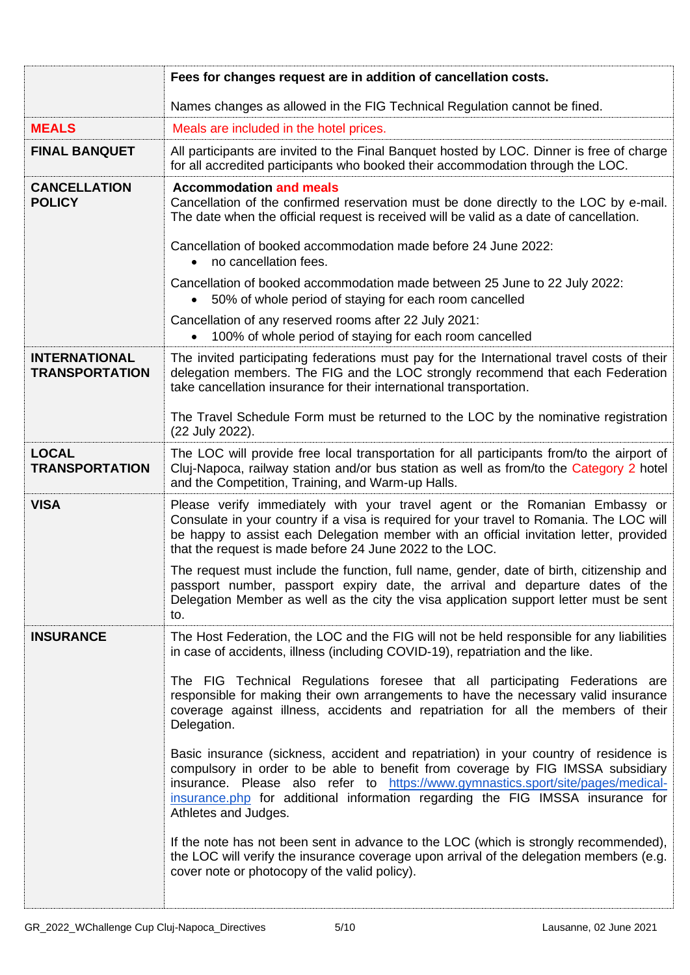|                                               | Fees for changes request are in addition of cancellation costs.                                                                                                                                                                                                                                                                                                        |  |  |
|-----------------------------------------------|------------------------------------------------------------------------------------------------------------------------------------------------------------------------------------------------------------------------------------------------------------------------------------------------------------------------------------------------------------------------|--|--|
|                                               | Names changes as allowed in the FIG Technical Regulation cannot be fined.                                                                                                                                                                                                                                                                                              |  |  |
| <b>MEALS</b>                                  | Meals are included in the hotel prices.                                                                                                                                                                                                                                                                                                                                |  |  |
| <b>FINAL BANQUET</b>                          | All participants are invited to the Final Banquet hosted by LOC. Dinner is free of charge<br>for all accredited participants who booked their accommodation through the LOC.                                                                                                                                                                                           |  |  |
| <b>CANCELLATION</b><br><b>POLICY</b>          | <b>Accommodation and meals</b><br>Cancellation of the confirmed reservation must be done directly to the LOC by e-mail.<br>The date when the official request is received will be valid as a date of cancellation.                                                                                                                                                     |  |  |
|                                               | Cancellation of booked accommodation made before 24 June 2022:<br>no cancellation fees.                                                                                                                                                                                                                                                                                |  |  |
|                                               | Cancellation of booked accommodation made between 25 June to 22 July 2022:<br>50% of whole period of staying for each room cancelled                                                                                                                                                                                                                                   |  |  |
|                                               | Cancellation of any reserved rooms after 22 July 2021:<br>100% of whole period of staying for each room cancelled                                                                                                                                                                                                                                                      |  |  |
| <b>INTERNATIONAL</b><br><b>TRANSPORTATION</b> | The invited participating federations must pay for the International travel costs of their<br>delegation members. The FIG and the LOC strongly recommend that each Federation<br>take cancellation insurance for their international transportation.                                                                                                                   |  |  |
|                                               | The Travel Schedule Form must be returned to the LOC by the nominative registration<br>(22 July 2022).                                                                                                                                                                                                                                                                 |  |  |
| <b>LOCAL</b><br><b>TRANSPORTATION</b>         | The LOC will provide free local transportation for all participants from/to the airport of<br>Cluj-Napoca, railway station and/or bus station as well as from/to the Category 2 hotel<br>and the Competition, Training, and Warm-up Halls.                                                                                                                             |  |  |
| <b>VISA</b>                                   | Please verify immediately with your travel agent or the Romanian Embassy or<br>Consulate in your country if a visa is required for your travel to Romania. The LOC will<br>be happy to assist each Delegation member with an official invitation letter, provided<br>that the request is made before 24 June 2022 to the LOC.                                          |  |  |
|                                               | The request must include the function, full name, gender, date of birth, citizenship and<br>passport number, passport expiry date, the arrival and departure dates of the<br>Delegation Member as well as the city the visa application support letter must be sent<br>to.                                                                                             |  |  |
| <b>INSURANCE</b>                              | The Host Federation, the LOC and the FIG will not be held responsible for any liabilities<br>in case of accidents, illness (including COVID-19), repatriation and the like.                                                                                                                                                                                            |  |  |
|                                               | The FIG Technical Regulations foresee that all participating Federations are<br>responsible for making their own arrangements to have the necessary valid insurance<br>coverage against illness, accidents and repatriation for all the members of their<br>Delegation.                                                                                                |  |  |
|                                               | Basic insurance (sickness, accident and repatriation) in your country of residence is<br>compulsory in order to be able to benefit from coverage by FIG IMSSA subsidiary<br>insurance. Please also refer to https://www.gymnastics.sport/site/pages/medical-<br>insurance.php for additional information regarding the FIG IMSSA insurance for<br>Athletes and Judges. |  |  |
|                                               | If the note has not been sent in advance to the LOC (which is strongly recommended),<br>the LOC will verify the insurance coverage upon arrival of the delegation members (e.g.<br>cover note or photocopy of the valid policy).                                                                                                                                       |  |  |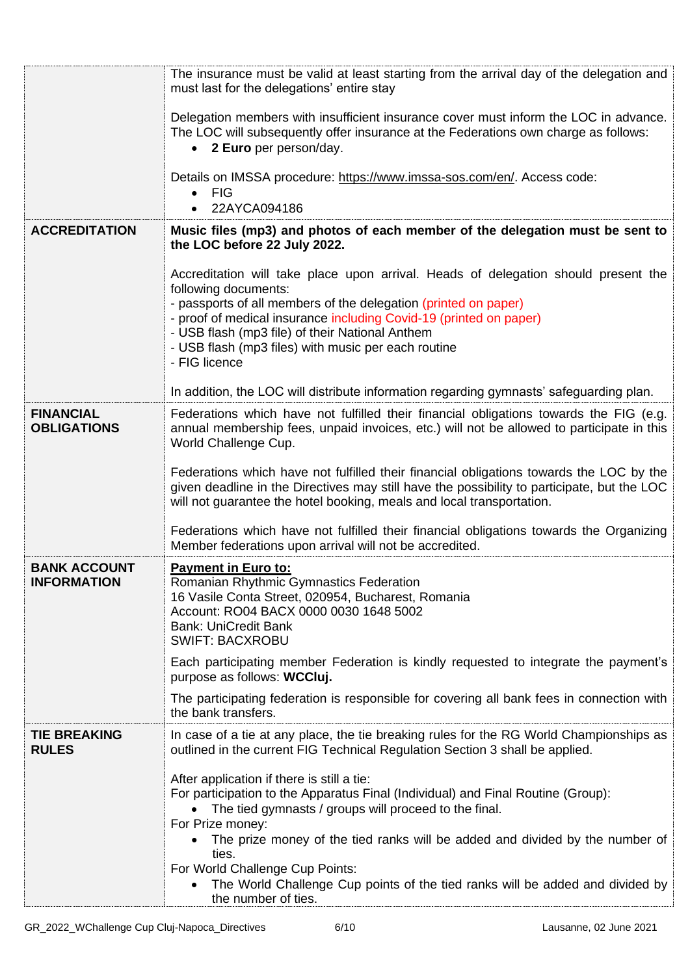|                                        | The insurance must be valid at least starting from the arrival day of the delegation and<br>must last for the delegations' entire stay                                                                                                                                                                                                                                         |
|----------------------------------------|--------------------------------------------------------------------------------------------------------------------------------------------------------------------------------------------------------------------------------------------------------------------------------------------------------------------------------------------------------------------------------|
|                                        | Delegation members with insufficient insurance cover must inform the LOC in advance.<br>The LOC will subsequently offer insurance at the Federations own charge as follows:<br>• 2 Euro per person/day.                                                                                                                                                                        |
|                                        | Details on IMSSA procedure: https://www.imssa-sos.com/en/. Access code:<br><b>FIG</b><br>22AYCA094186                                                                                                                                                                                                                                                                          |
| <b>ACCREDITATION</b>                   | Music files (mp3) and photos of each member of the delegation must be sent to<br>the LOC before 22 July 2022.                                                                                                                                                                                                                                                                  |
|                                        | Accreditation will take place upon arrival. Heads of delegation should present the<br>following documents:<br>- passports of all members of the delegation (printed on paper)<br>- proof of medical insurance including Covid-19 (printed on paper)<br>- USB flash (mp3 file) of their National Anthem<br>- USB flash (mp3 files) with music per each routine<br>- FIG licence |
|                                        | In addition, the LOC will distribute information regarding gymnasts' safeguarding plan.                                                                                                                                                                                                                                                                                        |
| <b>FINANCIAL</b><br><b>OBLIGATIONS</b> | Federations which have not fulfilled their financial obligations towards the FIG (e.g.<br>annual membership fees, unpaid invoices, etc.) will not be allowed to participate in this<br>World Challenge Cup.                                                                                                                                                                    |
|                                        | Federations which have not fulfilled their financial obligations towards the LOC by the<br>given deadline in the Directives may still have the possibility to participate, but the LOC<br>will not guarantee the hotel booking, meals and local transportation.                                                                                                                |
|                                        | Federations which have not fulfilled their financial obligations towards the Organizing<br>Member federations upon arrival will not be accredited.                                                                                                                                                                                                                             |
| <b>BANK ACCOUNT</b><br>INFORMATION     | <b>Payment in Euro to:</b><br>Romanian Rhythmic Gymnastics Federation<br>16 Vasile Conta Street, 020954, Bucharest, Romania<br>Account: RO04 BACX 0000 0030 1648 5002<br><b>Bank: UniCredit Bank</b><br><b>SWIFT: BACXROBU</b>                                                                                                                                                 |
|                                        | Each participating member Federation is kindly requested to integrate the payment's<br>purpose as follows: WCCluj.                                                                                                                                                                                                                                                             |
|                                        | The participating federation is responsible for covering all bank fees in connection with<br>the bank transfers.                                                                                                                                                                                                                                                               |
| <b>TIE BREAKING</b><br><b>RULES</b>    | In case of a tie at any place, the tie breaking rules for the RG World Championships as<br>outlined in the current FIG Technical Regulation Section 3 shall be applied.                                                                                                                                                                                                        |
|                                        | After application if there is still a tie:<br>For participation to the Apparatus Final (Individual) and Final Routine (Group):<br>The tied gymnasts / groups will proceed to the final.<br>For Prize money:                                                                                                                                                                    |
|                                        | The prize money of the tied ranks will be added and divided by the number of<br>ties.<br>For World Challenge Cup Points:                                                                                                                                                                                                                                                       |
|                                        | The World Challenge Cup points of the tied ranks will be added and divided by<br>the number of ties.                                                                                                                                                                                                                                                                           |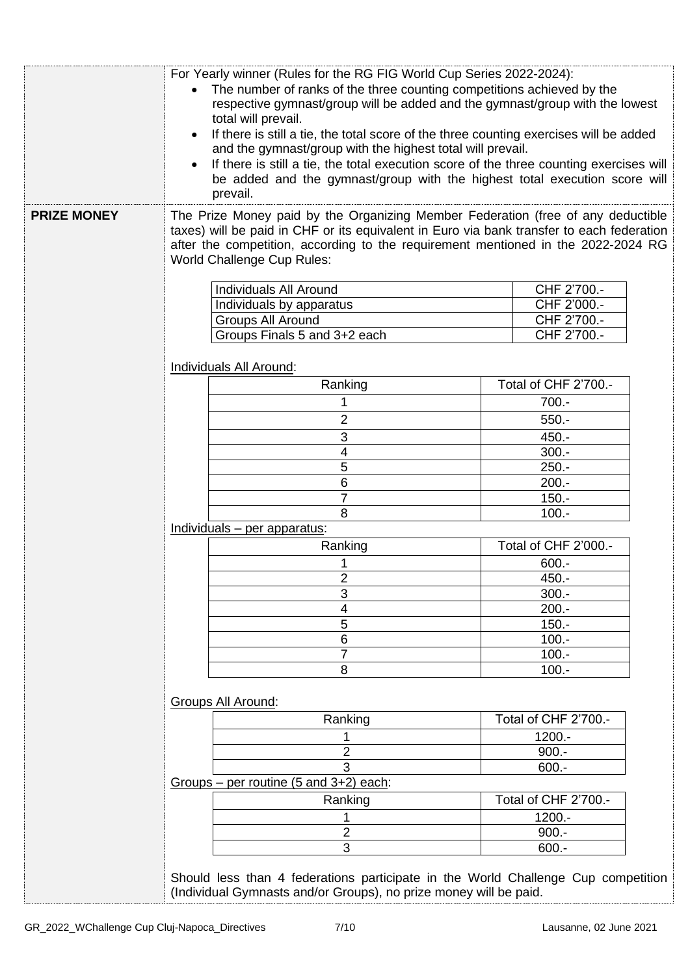|                    | For Yearly winner (Rules for the RG FIG World Cup Series 2022-2024):<br>The number of ranks of the three counting competitions achieved by the<br>respective gymnast/group will be added and the gymnast/group with the lowest<br>total will prevail.<br>If there is still a tie, the total score of the three counting exercises will be added<br>$\bullet$<br>and the gymnast/group with the highest total will prevail.<br>If there is still a tie, the total execution score of the three counting exercises will<br>$\bullet$<br>be added and the gymnast/group with the highest total execution score will<br>prevail. |                       |  |  |
|--------------------|------------------------------------------------------------------------------------------------------------------------------------------------------------------------------------------------------------------------------------------------------------------------------------------------------------------------------------------------------------------------------------------------------------------------------------------------------------------------------------------------------------------------------------------------------------------------------------------------------------------------------|-----------------------|--|--|
| <b>PRIZE MONEY</b> | The Prize Money paid by the Organizing Member Federation (free of any deductible<br>taxes) will be paid in CHF or its equivalent in Euro via bank transfer to each federation<br>after the competition, according to the requirement mentioned in the 2022-2024 RG<br><b>World Challenge Cup Rules:</b>                                                                                                                                                                                                                                                                                                                      |                       |  |  |
|                    |                                                                                                                                                                                                                                                                                                                                                                                                                                                                                                                                                                                                                              |                       |  |  |
|                    | Individuals All Around                                                                                                                                                                                                                                                                                                                                                                                                                                                                                                                                                                                                       | CHF 2'700.-           |  |  |
|                    | Individuals by apparatus                                                                                                                                                                                                                                                                                                                                                                                                                                                                                                                                                                                                     | CHF 2'000.-           |  |  |
|                    | <b>Groups All Around</b>                                                                                                                                                                                                                                                                                                                                                                                                                                                                                                                                                                                                     | CHF 2'700.-           |  |  |
|                    | Groups Finals 5 and 3+2 each                                                                                                                                                                                                                                                                                                                                                                                                                                                                                                                                                                                                 | CHF 2'700.-           |  |  |
|                    | Individuals All Around:                                                                                                                                                                                                                                                                                                                                                                                                                                                                                                                                                                                                      |                       |  |  |
|                    | Ranking                                                                                                                                                                                                                                                                                                                                                                                                                                                                                                                                                                                                                      | Total of CHF 2'700 .- |  |  |
|                    | 1                                                                                                                                                                                                                                                                                                                                                                                                                                                                                                                                                                                                                            | $700.-$               |  |  |
|                    | $\overline{2}$                                                                                                                                                                                                                                                                                                                                                                                                                                                                                                                                                                                                               | $550.-$               |  |  |
|                    |                                                                                                                                                                                                                                                                                                                                                                                                                                                                                                                                                                                                                              |                       |  |  |
|                    | $\sqrt{3}$<br>$\overline{\mathbf{4}}$                                                                                                                                                                                                                                                                                                                                                                                                                                                                                                                                                                                        | $450. -$<br>$300.-$   |  |  |
|                    | 5                                                                                                                                                                                                                                                                                                                                                                                                                                                                                                                                                                                                                            | $250. -$              |  |  |
|                    | $6\phantom{1}$                                                                                                                                                                                                                                                                                                                                                                                                                                                                                                                                                                                                               | $200.-$               |  |  |
|                    | $\overline{7}$                                                                                                                                                                                                                                                                                                                                                                                                                                                                                                                                                                                                               | $150. -$              |  |  |
|                    | 8                                                                                                                                                                                                                                                                                                                                                                                                                                                                                                                                                                                                                            | $100.-$               |  |  |
|                    | Individuals - per apparatus:                                                                                                                                                                                                                                                                                                                                                                                                                                                                                                                                                                                                 |                       |  |  |
|                    | Total of CHF 2'000.-<br>Ranking                                                                                                                                                                                                                                                                                                                                                                                                                                                                                                                                                                                              |                       |  |  |
|                    |                                                                                                                                                                                                                                                                                                                                                                                                                                                                                                                                                                                                                              | $600 -$               |  |  |
|                    | $\overline{\mathbf{c}}$<br>450.-                                                                                                                                                                                                                                                                                                                                                                                                                                                                                                                                                                                             |                       |  |  |
|                    | 3<br>$300.-$                                                                                                                                                                                                                                                                                                                                                                                                                                                                                                                                                                                                                 |                       |  |  |
|                    | $200.-$<br>4                                                                                                                                                                                                                                                                                                                                                                                                                                                                                                                                                                                                                 |                       |  |  |
|                    | 5<br>$150. -$                                                                                                                                                                                                                                                                                                                                                                                                                                                                                                                                                                                                                |                       |  |  |
|                    | 6                                                                                                                                                                                                                                                                                                                                                                                                                                                                                                                                                                                                                            | $100 -$               |  |  |
|                    | $\overline{7}$                                                                                                                                                                                                                                                                                                                                                                                                                                                                                                                                                                                                               | $100.-$               |  |  |
|                    | 8<br>$100.-$                                                                                                                                                                                                                                                                                                                                                                                                                                                                                                                                                                                                                 |                       |  |  |
|                    | Groups All Around:                                                                                                                                                                                                                                                                                                                                                                                                                                                                                                                                                                                                           |                       |  |  |
|                    | Ranking                                                                                                                                                                                                                                                                                                                                                                                                                                                                                                                                                                                                                      | Total of CHF 2'700.-  |  |  |
|                    |                                                                                                                                                                                                                                                                                                                                                                                                                                                                                                                                                                                                                              | $1200.-$              |  |  |
|                    | $\overline{2}$                                                                                                                                                                                                                                                                                                                                                                                                                                                                                                                                                                                                               | $900.-$               |  |  |
|                    | 3                                                                                                                                                                                                                                                                                                                                                                                                                                                                                                                                                                                                                            | $600 -$               |  |  |
|                    | Groups – per routine $(5 \text{ and } 3+2)$ each:                                                                                                                                                                                                                                                                                                                                                                                                                                                                                                                                                                            |                       |  |  |
|                    | Total of CHF 2'700.-<br>Ranking                                                                                                                                                                                                                                                                                                                                                                                                                                                                                                                                                                                              |                       |  |  |
|                    | 1200.-                                                                                                                                                                                                                                                                                                                                                                                                                                                                                                                                                                                                                       |                       |  |  |
|                    | $\overline{2}$<br>$900.-$                                                                                                                                                                                                                                                                                                                                                                                                                                                                                                                                                                                                    |                       |  |  |
|                    | 3<br>$600 -$                                                                                                                                                                                                                                                                                                                                                                                                                                                                                                                                                                                                                 |                       |  |  |
|                    | Should less than 4 federations participate in the World Challenge Cup competition<br>(Individual Gymnasts and/or Groups), no prize money will be paid.                                                                                                                                                                                                                                                                                                                                                                                                                                                                       |                       |  |  |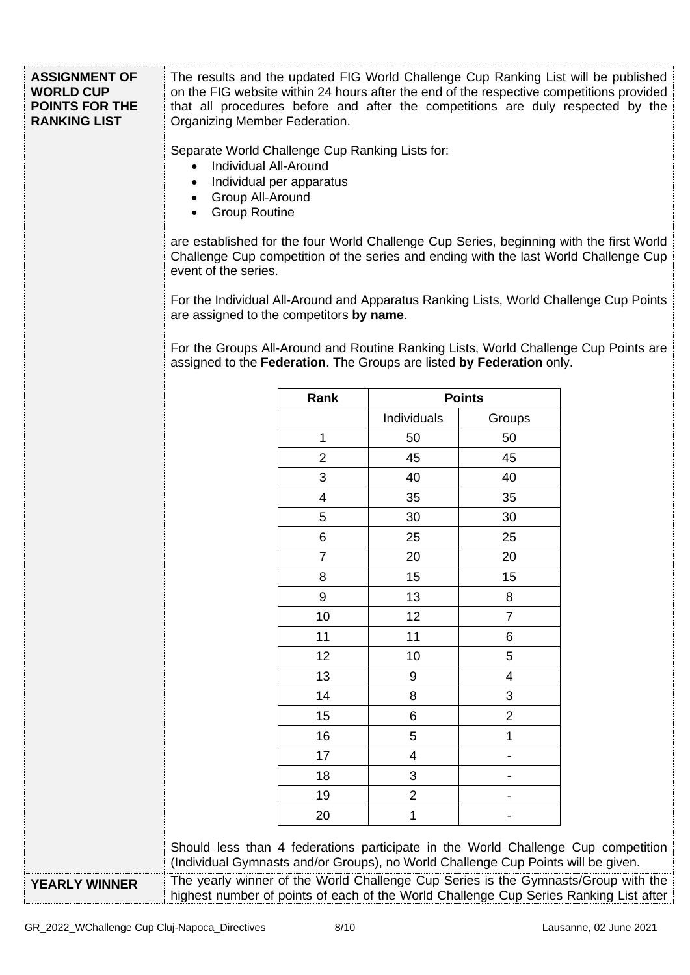| <b>ASSIGNMENT OF</b><br><b>WORLD CUP</b><br><b>POINTS FOR THE</b><br><b>RANKING LIST</b> | The results and the updated FIG World Challenge Cup Ranking List will be published<br>on the FIG website within 24 hours after the end of the respective competitions provided<br>that all procedures before and after the competitions are duly respected by the<br>Organizing Member Federation.<br>Separate World Challenge Cup Ranking Lists for:<br><b>Individual All-Around</b><br>$\bullet$<br>Individual per apparatus<br>$\bullet$<br><b>Group All-Around</b><br><b>Group Routine</b><br>are established for the four World Challenge Cup Series, beginning with the first World<br>Challenge Cup competition of the series and ending with the last World Challenge Cup<br>event of the series.<br>For the Individual All-Around and Apparatus Ranking Lists, World Challenge Cup Points<br>are assigned to the competitors by name.<br>For the Groups All-Around and Routine Ranking Lists, World Challenge Cup Points are |                |                          |                |  |
|------------------------------------------------------------------------------------------|---------------------------------------------------------------------------------------------------------------------------------------------------------------------------------------------------------------------------------------------------------------------------------------------------------------------------------------------------------------------------------------------------------------------------------------------------------------------------------------------------------------------------------------------------------------------------------------------------------------------------------------------------------------------------------------------------------------------------------------------------------------------------------------------------------------------------------------------------------------------------------------------------------------------------------------|----------------|--------------------------|----------------|--|
|                                                                                          | assigned to the Federation. The Groups are listed by Federation only.                                                                                                                                                                                                                                                                                                                                                                                                                                                                                                                                                                                                                                                                                                                                                                                                                                                                 |                |                          |                |  |
|                                                                                          |                                                                                                                                                                                                                                                                                                                                                                                                                                                                                                                                                                                                                                                                                                                                                                                                                                                                                                                                       | Rank           |                          | <b>Points</b>  |  |
|                                                                                          |                                                                                                                                                                                                                                                                                                                                                                                                                                                                                                                                                                                                                                                                                                                                                                                                                                                                                                                                       |                | Individuals              | Groups         |  |
|                                                                                          |                                                                                                                                                                                                                                                                                                                                                                                                                                                                                                                                                                                                                                                                                                                                                                                                                                                                                                                                       | 1              | 50                       | 50             |  |
|                                                                                          |                                                                                                                                                                                                                                                                                                                                                                                                                                                                                                                                                                                                                                                                                                                                                                                                                                                                                                                                       | $\overline{2}$ | 45                       | 45             |  |
|                                                                                          |                                                                                                                                                                                                                                                                                                                                                                                                                                                                                                                                                                                                                                                                                                                                                                                                                                                                                                                                       | 3              | 40                       | 40             |  |
|                                                                                          |                                                                                                                                                                                                                                                                                                                                                                                                                                                                                                                                                                                                                                                                                                                                                                                                                                                                                                                                       | $\overline{4}$ | 35                       | 35             |  |
|                                                                                          |                                                                                                                                                                                                                                                                                                                                                                                                                                                                                                                                                                                                                                                                                                                                                                                                                                                                                                                                       | 5              | 30                       | 30             |  |
|                                                                                          |                                                                                                                                                                                                                                                                                                                                                                                                                                                                                                                                                                                                                                                                                                                                                                                                                                                                                                                                       | 6              | 25                       | 25             |  |
|                                                                                          |                                                                                                                                                                                                                                                                                                                                                                                                                                                                                                                                                                                                                                                                                                                                                                                                                                                                                                                                       | $\overline{7}$ | 20                       | 20             |  |
|                                                                                          |                                                                                                                                                                                                                                                                                                                                                                                                                                                                                                                                                                                                                                                                                                                                                                                                                                                                                                                                       | 8              | 15                       | 15             |  |
|                                                                                          |                                                                                                                                                                                                                                                                                                                                                                                                                                                                                                                                                                                                                                                                                                                                                                                                                                                                                                                                       | 9              | 13                       | 8              |  |
|                                                                                          |                                                                                                                                                                                                                                                                                                                                                                                                                                                                                                                                                                                                                                                                                                                                                                                                                                                                                                                                       | 10             | 12                       | $\overline{7}$ |  |
|                                                                                          |                                                                                                                                                                                                                                                                                                                                                                                                                                                                                                                                                                                                                                                                                                                                                                                                                                                                                                                                       | 11             | 11                       | 6              |  |
|                                                                                          |                                                                                                                                                                                                                                                                                                                                                                                                                                                                                                                                                                                                                                                                                                                                                                                                                                                                                                                                       | 12             | 10                       | 5              |  |
|                                                                                          |                                                                                                                                                                                                                                                                                                                                                                                                                                                                                                                                                                                                                                                                                                                                                                                                                                                                                                                                       | 13             | 9                        | 4              |  |
|                                                                                          |                                                                                                                                                                                                                                                                                                                                                                                                                                                                                                                                                                                                                                                                                                                                                                                                                                                                                                                                       | 14             | 8                        | 3              |  |
|                                                                                          |                                                                                                                                                                                                                                                                                                                                                                                                                                                                                                                                                                                                                                                                                                                                                                                                                                                                                                                                       | 15             | 6                        | $\overline{2}$ |  |
|                                                                                          |                                                                                                                                                                                                                                                                                                                                                                                                                                                                                                                                                                                                                                                                                                                                                                                                                                                                                                                                       | 16             | 5                        | 1              |  |
|                                                                                          |                                                                                                                                                                                                                                                                                                                                                                                                                                                                                                                                                                                                                                                                                                                                                                                                                                                                                                                                       | 17             | $\overline{\mathcal{A}}$ |                |  |
|                                                                                          |                                                                                                                                                                                                                                                                                                                                                                                                                                                                                                                                                                                                                                                                                                                                                                                                                                                                                                                                       | 18             | 3                        |                |  |
|                                                                                          |                                                                                                                                                                                                                                                                                                                                                                                                                                                                                                                                                                                                                                                                                                                                                                                                                                                                                                                                       | 19             | $\overline{2}$           |                |  |
|                                                                                          | 20<br>1                                                                                                                                                                                                                                                                                                                                                                                                                                                                                                                                                                                                                                                                                                                                                                                                                                                                                                                               |                |                          |                |  |
|                                                                                          | Should less than 4 federations participate in the World Challenge Cup competition<br>(Individual Gymnasts and/or Groups), no World Challenge Cup Points will be given.                                                                                                                                                                                                                                                                                                                                                                                                                                                                                                                                                                                                                                                                                                                                                                |                |                          |                |  |
| <b>YEARLY WINNER</b>                                                                     | The yearly winner of the World Challenge Cup Series is the Gymnasts/Group with the                                                                                                                                                                                                                                                                                                                                                                                                                                                                                                                                                                                                                                                                                                                                                                                                                                                    |                |                          |                |  |
|                                                                                          | highest number of points of each of the World Challenge Cup Series Ranking List after                                                                                                                                                                                                                                                                                                                                                                                                                                                                                                                                                                                                                                                                                                                                                                                                                                                 |                |                          |                |  |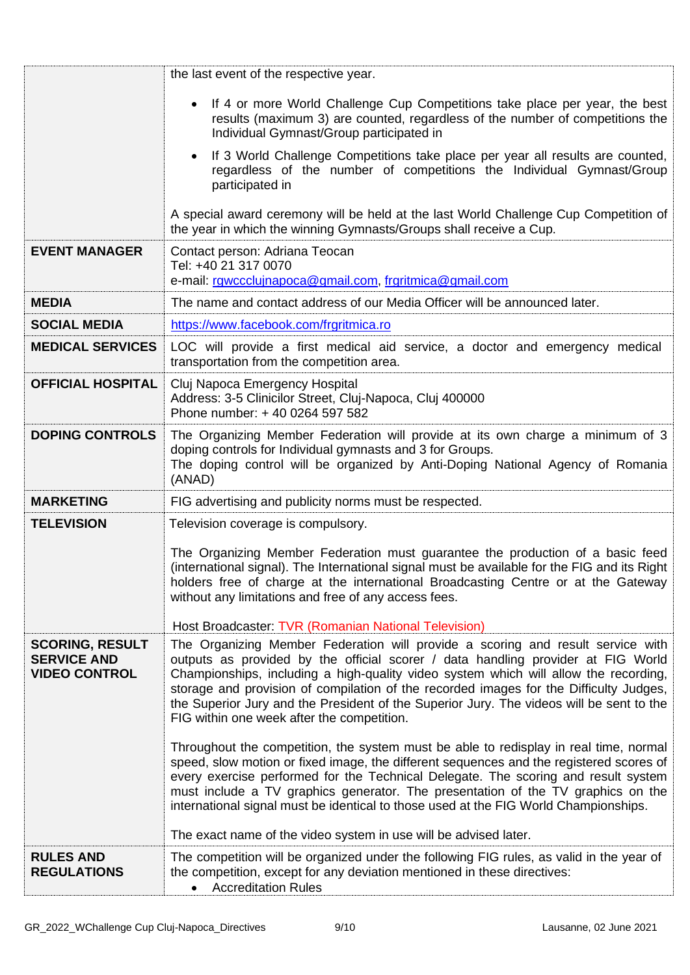|                                                                      | the last event of the respective year.                                                                                                                                                                                                                                                                                                                                                                                                                                                                                 |
|----------------------------------------------------------------------|------------------------------------------------------------------------------------------------------------------------------------------------------------------------------------------------------------------------------------------------------------------------------------------------------------------------------------------------------------------------------------------------------------------------------------------------------------------------------------------------------------------------|
|                                                                      | If 4 or more World Challenge Cup Competitions take place per year, the best<br>$\bullet$<br>results (maximum 3) are counted, regardless of the number of competitions the<br>Individual Gymnast/Group participated in                                                                                                                                                                                                                                                                                                  |
|                                                                      | If 3 World Challenge Competitions take place per year all results are counted,<br>٠<br>regardless of the number of competitions the Individual Gymnast/Group<br>participated in                                                                                                                                                                                                                                                                                                                                        |
|                                                                      | A special award ceremony will be held at the last World Challenge Cup Competition of<br>the year in which the winning Gymnasts/Groups shall receive a Cup.                                                                                                                                                                                                                                                                                                                                                             |
| <b>EVENT MANAGER</b>                                                 | Contact person: Adriana Teocan<br>Tel: +40 21 317 0070<br>e-mail: rgwccclujnapoca@gmail.com, frgritmica@gmail.com                                                                                                                                                                                                                                                                                                                                                                                                      |
| <b>MEDIA</b>                                                         | The name and contact address of our Media Officer will be announced later.                                                                                                                                                                                                                                                                                                                                                                                                                                             |
| <b>SOCIAL MEDIA</b>                                                  | https://www.facebook.com/frgritmica.ro                                                                                                                                                                                                                                                                                                                                                                                                                                                                                 |
| <b>MEDICAL SERVICES</b>                                              | LOC will provide a first medical aid service, a doctor and emergency medical<br>transportation from the competition area.                                                                                                                                                                                                                                                                                                                                                                                              |
| <b>OFFICIAL HOSPITAL</b>                                             | Cluj Napoca Emergency Hospital<br>Address: 3-5 Clinicilor Street, Cluj-Napoca, Cluj 400000<br>Phone number: +40 0264 597 582                                                                                                                                                                                                                                                                                                                                                                                           |
| <b>DOPING CONTROLS</b>                                               | The Organizing Member Federation will provide at its own charge a minimum of 3<br>doping controls for Individual gymnasts and 3 for Groups.<br>The doping control will be organized by Anti-Doping National Agency of Romania<br>(ANAD)                                                                                                                                                                                                                                                                                |
| <b>MARKETING</b>                                                     | FIG advertising and publicity norms must be respected.                                                                                                                                                                                                                                                                                                                                                                                                                                                                 |
| <b>TELEVISION</b>                                                    | Television coverage is compulsory.                                                                                                                                                                                                                                                                                                                                                                                                                                                                                     |
|                                                                      | The Organizing Member Federation must guarantee the production of a basic feed<br>(international signal). The International signal must be available for the FIG and its Right<br>holders free of charge at the international Broadcasting Centre or at the Gateway<br>without any limitations and free of any access fees.<br>Host Broadcaster: TVR (Romanian National Television)                                                                                                                                    |
| <b>SCORING, RESULT</b><br><b>SERVICE AND</b><br><b>VIDEO CONTROL</b> | The Organizing Member Federation will provide a scoring and result service with<br>outputs as provided by the official scorer / data handling provider at FIG World<br>Championships, including a high-quality video system which will allow the recording,<br>storage and provision of compilation of the recorded images for the Difficulty Judges,<br>the Superior Jury and the President of the Superior Jury. The videos will be sent to the<br>FIG within one week after the competition.                        |
|                                                                      | Throughout the competition, the system must be able to redisplay in real time, normal<br>speed, slow motion or fixed image, the different sequences and the registered scores of<br>every exercise performed for the Technical Delegate. The scoring and result system<br>must include a TV graphics generator. The presentation of the TV graphics on the<br>international signal must be identical to those used at the FIG World Championships.<br>The exact name of the video system in use will be advised later. |
| <b>RULES AND</b><br><b>REGULATIONS</b>                               | The competition will be organized under the following FIG rules, as valid in the year of<br>the competition, except for any deviation mentioned in these directives:<br><b>Accreditation Rules</b>                                                                                                                                                                                                                                                                                                                     |